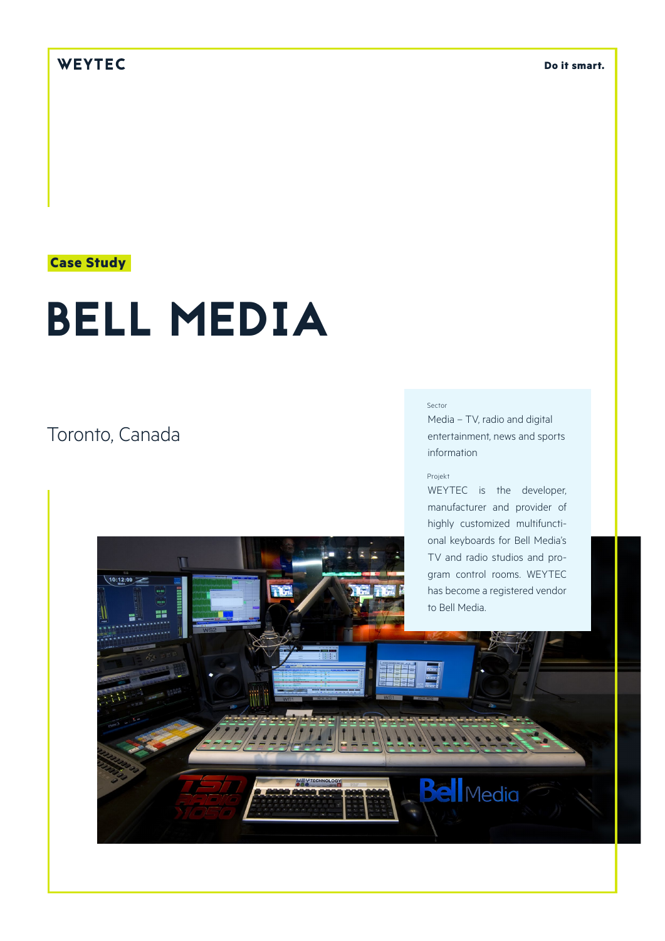### WEYTEC

**Do it smart.**

## **Case Study**

# BELL MEDIA

# Toronto, Canada

#### Sector

Media – TV, radio and digital entertainment, news and sports information

#### Projekt

WEYTEC is the developer, manufacturer and provider of highly customized multifunctional keyboards for Bell Media's TV and radio studios and program control rooms. WEYTEC has become a registered vendor to Bell Media.

**Bell** Media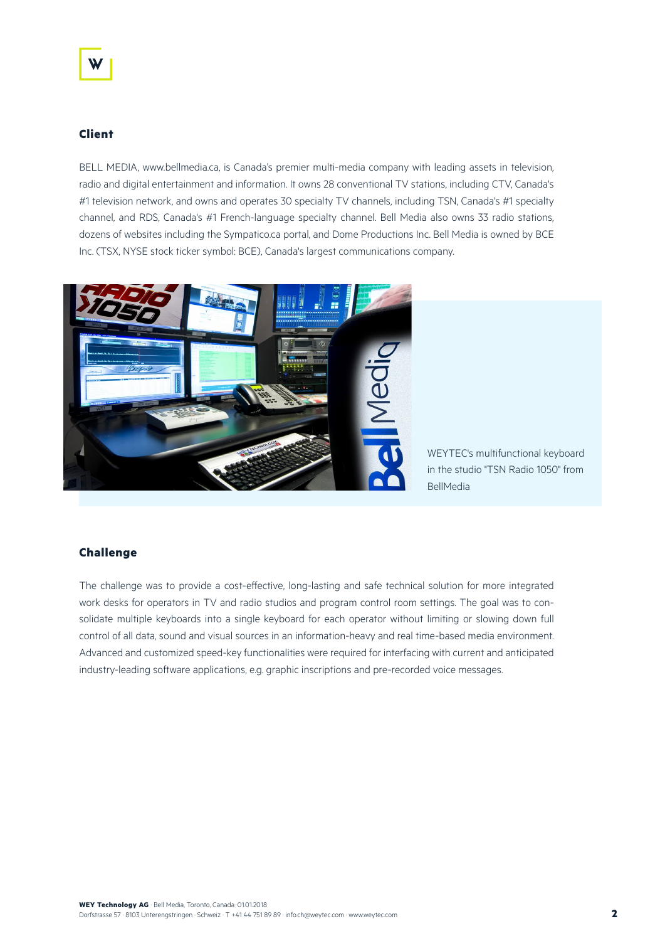#### **Client**

BELL MEDIA, www.bellmedia.ca, is Canada's premier multi-media company with leading assets in television, radio and digital entertainment and information. It owns 28 conventional TV stations, including CTV, Canada's #1 television network, and owns and operates 30 specialty TV channels, including TSN, Canada's #1 specialty channel, and RDS, Canada's #1 French-language specialty channel. Bell Media also owns 33 radio stations, dozens of websites including the Sympatico.ca portal, and Dome Productions Inc. Bell Media is owned by BCE Inc. (TSX, NYSE stock ticker symbol: BCE), Canada's largest communications company.



WEYTEC's multifunctional keyboard in the studio "TSN Radio 1050" from BellMedia

#### **Challenge**

The challenge was to provide a cost-effective, long-lasting and safe technical solution for more integrated work desks for operators in TV and radio studios and program control room settings. The goal was to consolidate multiple keyboards into a single keyboard for each operator without limiting or slowing down full control of all data, sound and visual sources in an information-heavy and real time-based media environment. Advanced and customized speed-key functionalities were required for interfacing with current and anticipated industry-leading software applications, e.g. graphic inscriptions and pre-recorded voice messages.